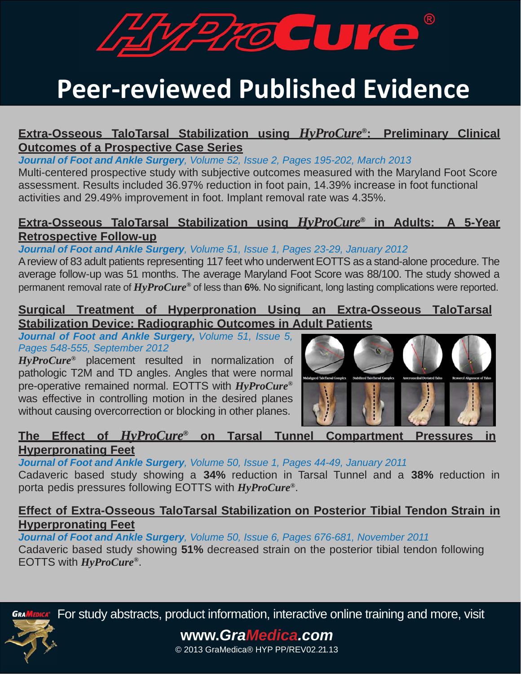

# **Peer‐reviewed Published Evidence**

### **Extra-Osseous TaloTarsal Stabilization using** *HyProCure***®: Preliminary Clinical Outcomes of a Prospective Case Series**

*Journal of Foot and Ankle Surgery, Volume 52, Issue 2, Pages 195-202, March 2013*

Multi-centered prospective study with subjective outcomes measured with the Maryland Foot Score assessment. Results included 36.97% reduction in foot pain, 14.39% increase in foot functional activities and 29.49% improvement in foot. Implant removal rate was 4.35%.

### **Extra-Osseous TaloTarsal Stabilization using** *HyProCure***® in Adults: A 5-Year Retrospective Follow-up**

*Journal of Foot and Ankle Surgery, Volume 51, Issue 1, Pages 23-29, January 2012* A review of 83 adult patients representing 117 feet who underwent EOTTS as a stand-alone procedure. The average follow-up was 51 months. The average Maryland Foot Score was 88/100. The study showed a permanent removal rate of *HyProCure®* of less than **6%**. No significant, long lasting complications were reported.

### **Surgical Treatment of Hyperpronation Using an Extra-Osseous TaloTarsal Stabilization Device: Radiographic Outcomes in Adult Patients**

*Journal of Foot and Ankle Surgery, Volume 51, Issue 5, Pages 548-555, September 2012*

*HyProCure®* placement resulted in normalization of pathologic T2M and TD angles. Angles that were normal pre-operative remained normal. EOTTS with *HyProCure®* was effective in controlling motion in the desired planes without causing overcorrection or blocking in other planes.



### **The Effect of** *HyProCure***® on Tarsal Tunnel Compartment Pressures in**

#### **Hyperpronating Feet**

*Journal of Foot and Ankle Surgery, Volume 50, Issue 1, Pages 44-49, January 2011*

Cadaveric based study showing a **34%** reduction in Tarsal Tunnel and a **38%** reduction in porta pedis pressures following EOTTS with *HyProCure®*.

### **Effect of Extra-Osseous TaloTarsal Stabilization on Posterior Tibial Tendon Strain in Hyperpronating Feet**

*Journal of Foot and Ankle Surgery, Volume 50, Issue 6, Pages 676-681, November 2011*

Cadaveric based study showing **51%** decreased strain on the posterior tibial tendon following EOTTS with *HyProCure®*.



**GRAMEDICA:** For study abstracts, product information, interactive online training and more, visit

### **www.***GraMedica.com*

© 2013 GraMedica® HYP PP/REV02.21.13